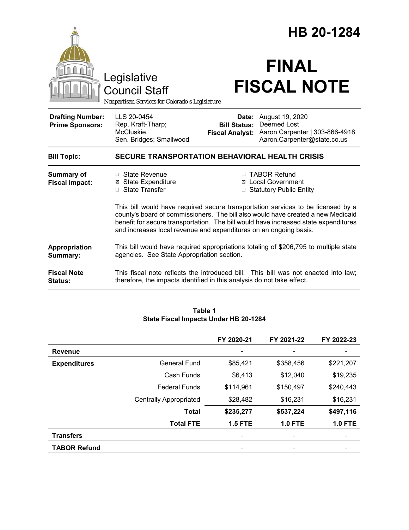|                                                   |                                                                                                                                                                                                                                                                                                                                  | HB 20-1284                                    |                                                                                                                     |  |
|---------------------------------------------------|----------------------------------------------------------------------------------------------------------------------------------------------------------------------------------------------------------------------------------------------------------------------------------------------------------------------------------|-----------------------------------------------|---------------------------------------------------------------------------------------------------------------------|--|
|                                                   | Legislative<br><b>Council Staff</b><br>Nonpartisan Services for Colorado's Legislature                                                                                                                                                                                                                                           |                                               | <b>FINAL</b><br><b>FISCAL NOTE</b>                                                                                  |  |
| <b>Drafting Number:</b><br><b>Prime Sponsors:</b> | LLS 20-0454<br>Rep. Kraft-Tharp;<br><b>McCluskie</b><br>Sen. Bridges; Smallwood                                                                                                                                                                                                                                                  | <b>Bill Status:</b><br><b>Fiscal Analyst:</b> | <b>Date:</b> August 19, 2020<br><b>Deemed Lost</b><br>Aaron Carpenter   303-866-4918<br>Aaron.Carpenter@state.co.us |  |
| <b>Bill Topic:</b>                                | <b>SECURE TRANSPORTATION BEHAVIORAL HEALTH CRISIS</b>                                                                                                                                                                                                                                                                            |                                               |                                                                                                                     |  |
| <b>Summary of</b><br><b>Fiscal Impact:</b>        | $\Box$ State Revenue<br><b>⊠</b> State Expenditure<br>□ State Transfer                                                                                                                                                                                                                                                           |                                               | □ TABOR Refund<br>⊠ Local Government<br>□ Statutory Public Entity                                                   |  |
|                                                   | This bill would have required secure transportation services to be licensed by a<br>county's board of commissioners. The bill also would have created a new Medicaid<br>benefit for secure transportation. The bill would have increased state expenditures<br>and increases local revenue and expenditures on an ongoing basis. |                                               |                                                                                                                     |  |
| Appropriation<br>Summary:                         | This bill would have required appropriations totaling of \$206,795 to multiple state<br>agencies. See State Appropriation section.                                                                                                                                                                                               |                                               |                                                                                                                     |  |
| <b>Fiscal Note</b><br>Status:                     | therefore, the impacts identified in this analysis do not take effect.                                                                                                                                                                                                                                                           |                                               | This fiscal note reflects the introduced bill. This bill was not enacted into law;                                  |  |

## **Table 1 State Fiscal Impacts Under HB 20-1284**

|                     |                               | FY 2020-21               | FY 2021-22     | FY 2022-23     |
|---------------------|-------------------------------|--------------------------|----------------|----------------|
| <b>Revenue</b>      |                               | $\overline{\phantom{a}}$ |                |                |
| <b>Expenditures</b> | <b>General Fund</b>           | \$85,421                 | \$358,456      | \$221,207      |
|                     | Cash Funds                    | \$6,413                  | \$12,040       | \$19,235       |
|                     | <b>Federal Funds</b>          | \$114,961                | \$150,497      | \$240,443      |
|                     | <b>Centrally Appropriated</b> | \$28,482                 | \$16,231       | \$16,231       |
|                     | <b>Total</b>                  | \$235,277                | \$537,224      | \$497,116      |
|                     | <b>Total FTE</b>              | <b>1.5 FTE</b>           | <b>1.0 FTE</b> | <b>1.0 FTE</b> |
| <b>Transfers</b>    |                               | $\overline{\phantom{a}}$ |                |                |
| <b>TABOR Refund</b> |                               | $\overline{\phantom{a}}$ |                |                |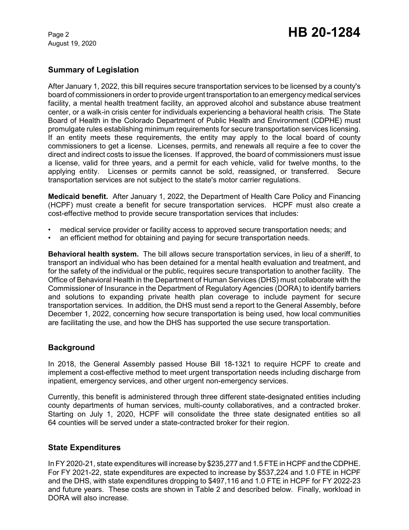August 19, 2020

# Page 2 **HB 20-1284**

## **Summary of Legislation**

After January 1, 2022, this bill requires secure transportation services to be licensed by a county's board of commissioners in order to provide urgent transportation to an emergency medical services facility, a mental health treatment facility, an approved alcohol and substance abuse treatment center, or a walk-in crisis center for individuals experiencing a behavioral health crisis. The State Board of Health in the Colorado Department of Public Health and Environment (CDPHE) must promulgate rules establishing minimum requirements for secure transportation services licensing. If an entity meets these requirements, the entity may apply to the local board of county commissioners to get a license. Licenses, permits, and renewals all require a fee to cover the direct and indirect costs to issue the licenses. If approved, the board of commissioners must issue a license, valid for three years, and a permit for each vehicle, valid for twelve months, to the applying entity. Licenses or permits cannot be sold, reassigned, or transferred. Secure transportation services are not subject to the state's motor carrier regulations.

**Medicaid benefit.** After January 1, 2022, the Department of Health Care Policy and Financing (HCPF) must create a benefit for secure transportation services. HCPF must also create a cost-effective method to provide secure transportation services that includes:

- medical service provider or facility access to approved secure transportation needs; and
- an efficient method for obtaining and paying for secure transportation needs.

**Behavioral health system.** The bill allows secure transportation services, in lieu of a sheriff, to transport an individual who has been detained for a mental health evaluation and treatment, and for the safety of the individual or the public, requires secure transportation to another facility. The Office of Behavioral Health in the Department of Human Services (DHS) must collaborate with the Commissioner of Insurance in the Department of Regulatory Agencies (DORA) to identify barriers and solutions to expanding private health plan coverage to include payment for secure transportation services. In addition, the DHS must send a report to the General Assembly, before December 1, 2022, concerning how secure transportation is being used, how local communities are facilitating the use, and how the DHS has supported the use secure transportation.

## **Background**

In 2018, the General Assembly passed House Bill 18-1321 to require HCPF to create and implement a cost-effective method to meet urgent transportation needs including discharge from inpatient, emergency services, and other urgent non-emergency services.

Currently, this benefit is administered through three different state-designated entities including county departments of human services, multi-county collaboratives, and a contracted broker. Starting on July 1, 2020, HCPF will consolidate the three state designated entities so all 64 counties will be served under a state-contracted broker for their region.

## **State Expenditures**

In FY 2020-21, state expenditures will increase by \$235,277 and 1.5 FTE in HCPF and the CDPHE. For FY 2021-22, state expenditures are expected to increase by \$537,224 and 1.0 FTE in HCPF and the DHS, with state expenditures dropping to \$497,116 and 1.0 FTE in HCPF for FY 2022-23 and future years. These costs are shown in Table 2 and described below. Finally, workload in DORA will also increase.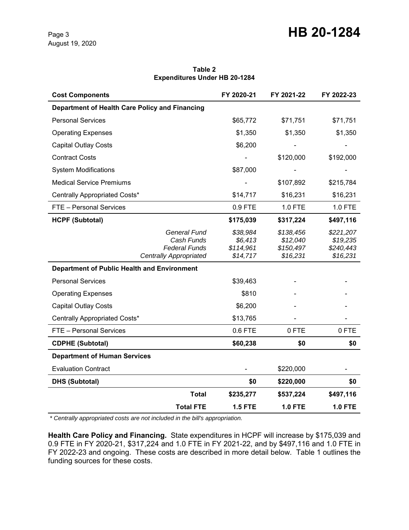$\overline{a}$ 

| <b>Expenditures Under HB 20-1284</b>                                                |                                              |                                                |                                                |  |  |  |  |
|-------------------------------------------------------------------------------------|----------------------------------------------|------------------------------------------------|------------------------------------------------|--|--|--|--|
| <b>Cost Components</b>                                                              | FY 2020-21                                   | FY 2021-22                                     | FY 2022-23                                     |  |  |  |  |
| Department of Health Care Policy and Financing                                      |                                              |                                                |                                                |  |  |  |  |
| <b>Personal Services</b>                                                            | \$65,772                                     | \$71,751                                       | \$71,751                                       |  |  |  |  |
| <b>Operating Expenses</b>                                                           | \$1,350                                      | \$1,350                                        | \$1,350                                        |  |  |  |  |
| <b>Capital Outlay Costs</b>                                                         | \$6,200                                      |                                                |                                                |  |  |  |  |
| <b>Contract Costs</b>                                                               |                                              | \$120,000                                      | \$192,000                                      |  |  |  |  |
| <b>System Modifications</b>                                                         | \$87,000                                     |                                                |                                                |  |  |  |  |
| <b>Medical Service Premiums</b>                                                     |                                              | \$107,892                                      | \$215,784                                      |  |  |  |  |
| Centrally Appropriated Costs*                                                       | \$14,717                                     | \$16,231                                       | \$16,231                                       |  |  |  |  |
| FTE - Personal Services                                                             | 0.9 FTE                                      | 1.0 FTE                                        | 1.0 FTE                                        |  |  |  |  |
| <b>HCPF (Subtotal)</b>                                                              | \$175,039                                    | \$317,224                                      | \$497,116                                      |  |  |  |  |
| General Fund<br>Cash Funds<br><b>Federal Funds</b><br><b>Centrally Appropriated</b> | \$38,984<br>\$6,413<br>\$114,961<br>\$14,717 | \$138,456<br>\$12,040<br>\$150,497<br>\$16,231 | \$221,207<br>\$19,235<br>\$240,443<br>\$16,231 |  |  |  |  |
| <b>Department of Public Health and Environment</b>                                  |                                              |                                                |                                                |  |  |  |  |
| <b>Personal Services</b>                                                            | \$39,463                                     |                                                |                                                |  |  |  |  |
| <b>Operating Expenses</b>                                                           | \$810                                        |                                                |                                                |  |  |  |  |
| <b>Capital Outlay Costs</b>                                                         | \$6,200                                      |                                                |                                                |  |  |  |  |
| Centrally Appropriated Costs*                                                       | \$13,765                                     |                                                |                                                |  |  |  |  |
| FTE - Personal Services                                                             | 0.6 FTE                                      | 0 FTE                                          | 0 FTE                                          |  |  |  |  |
| <b>CDPHE (Subtotal)</b>                                                             | \$60,238                                     | \$0                                            | \$0                                            |  |  |  |  |
| <b>Department of Human Services</b>                                                 |                                              |                                                |                                                |  |  |  |  |
| <b>Evaluation Contract</b>                                                          |                                              | \$220,000                                      |                                                |  |  |  |  |
| <b>DHS (Subtotal)</b>                                                               | \$0                                          | \$220,000                                      | \$0                                            |  |  |  |  |
| <b>Total</b>                                                                        | \$235,277                                    | \$537,224                                      | \$497,116                                      |  |  |  |  |
| <b>Total FTE</b>                                                                    | <b>1.5 FTE</b>                               | <b>1.0 FTE</b>                                 | <b>1.0 FTE</b>                                 |  |  |  |  |

#### **Table 2 Expenditures Under HB 20-1284**

 *\* Centrally appropriated costs are not included in the bill's appropriation.*

**Health Care Policy and Financing.** State expenditures in HCPF will increase by \$175,039 and 0.9 FTE in FY 2020-21, \$317,224 and 1.0 FTE in FY 2021-22, and by \$497,116 and 1.0 FTE in FY 2022-23 and ongoing. These costs are described in more detail below. Table 1 outlines the funding sources for these costs.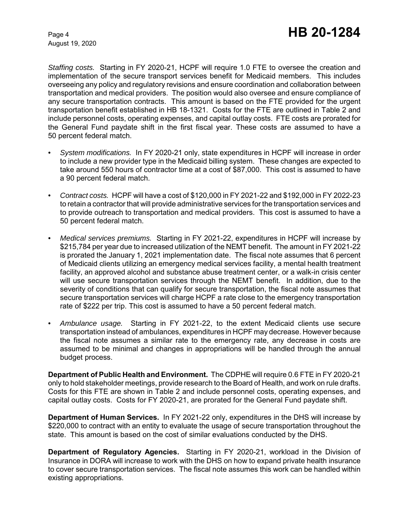August 19, 2020

*Staffing costs.* Starting in FY 2020-21, HCPF will require 1.0 FTE to oversee the creation and implementation of the secure transport services benefit for Medicaid members. This includes overseeing any policy and regulatory revisions and ensure coordination and collaboration between transportation and medical providers. The position would also oversee and ensure compliance of any secure transportation contracts. This amount is based on the FTE provided for the urgent transportation benefit established in HB 18-1321. Costs for the FTE are outlined in Table 2 and include personnel costs, operating expenses, and capital outlay costs. FTE costs are prorated for the General Fund paydate shift in the first fiscal year. These costs are assumed to have a 50 percent federal match.

- *• System modifications.* In FY 2020-21 only, state expenditures in HCPF will increase in order to include a new provider type in the Medicaid billing system. These changes are expected to take around 550 hours of contractor time at a cost of \$87,000. This cost is assumed to have a 90 percent federal match.
- *• Contract costs.* HCPF will have a cost of \$120,000 in FY 2021-22 and \$192,000 in FY 2022-23 to retain a contractor that will provide administrative services for the transportation services and to provide outreach to transportation and medical providers. This cost is assumed to have a 50 percent federal match.
- *• Medical services premiums.* Starting in FY 2021-22, expenditures in HCPF will increase by \$215,784 per year due to increased utilization of the NEMT benefit. The amount in FY 2021-22 is prorated the January 1, 2021 implementation date. The fiscal note assumes that 6 percent of Medicaid clients utilizing an emergency medical services facility, a mental health treatment facility, an approved alcohol and substance abuse treatment center, or a walk-in crisis center will use secure transportation services through the NEMT benefit. In addition, due to the severity of conditions that can qualify for secure transportation, the fiscal note assumes that secure transportation services will charge HCPF a rate close to the emergency transportation rate of \$222 per trip. This cost is assumed to have a 50 percent federal match.
- *• Ambulance usage.* Starting in FY 2021-22, to the extent Medicaid clients use secure transportation instead of ambulances, expenditures in HCPF may decrease. However because the fiscal note assumes a similar rate to the emergency rate, any decrease in costs are assumed to be minimal and changes in appropriations will be handled through the annual budget process.

**Department of Public Health and Environment.** The CDPHE will require 0.6 FTE in FY 2020-21 only to hold stakeholder meetings, provide research to the Board of Health, and work on rule drafts. Costs for this FTE are shown in Table 2 and include personnel costs, operating expenses, and capital outlay costs. Costs for FY 2020-21, are prorated for the General Fund paydate shift.

**Department of Human Services.** In FY 2021-22 only, expenditures in the DHS will increase by \$220,000 to contract with an entity to evaluate the usage of secure transportation throughout the state. This amount is based on the cost of similar evaluations conducted by the DHS.

**Department of Regulatory Agencies.** Starting in FY 2020-21, workload in the Division of Insurance in DORA will increase to work with the DHS on how to expand private health insurance to cover secure transportation services. The fiscal note assumes this work can be handled within existing appropriations.